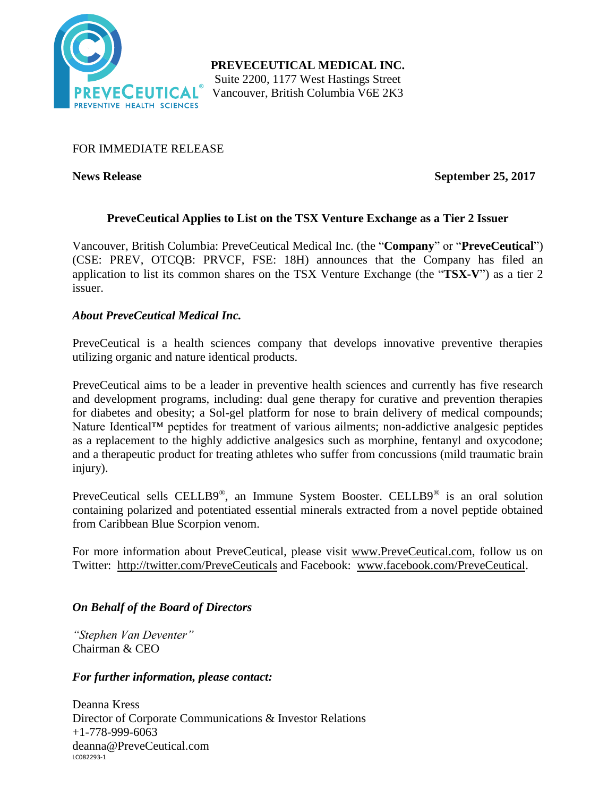

## FOR IMMEDIATE RELEASE

**News Release September 25, 2017**

# **PreveCeutical Applies to List on the TSX Venture Exchange as a Tier 2 Issuer**

Vancouver, British Columbia: PreveCeutical Medical Inc. (the "**Company**" or "**PreveCeutical**") (CSE: PREV, OTCQB: PRVCF, FSE: 18H) announces that the Company has filed an application to list its common shares on the TSX Venture Exchange (the "**TSX-V**") as a tier 2 issuer.

## *About PreveCeutical Medical Inc.*

PreveCeutical is a health sciences company that develops innovative preventive therapies utilizing organic and nature identical products.

PreveCeutical aims to be a leader in preventive health sciences and currently has five research and development programs, including: dual gene therapy for curative and prevention therapies for diabetes and obesity; a Sol-gel platform for nose to brain delivery of medical compounds; Nature Identical™ peptides for treatment of various ailments; non-addictive analgesic peptides as a replacement to the highly addictive analgesics such as morphine, fentanyl and oxycodone; and a therapeutic product for treating athletes who suffer from concussions (mild traumatic brain injury).

PreveCeutical sells CELLB9®, an Immune System Booster. CELLB9® is an oral solution containing polarized and potentiated essential minerals extracted from a novel peptide obtained from Caribbean Blue Scorpion venom.

For more information about PreveCeutical, please visit www.PreveCeutical.com, follow us on Twitter: http://twitter.com/PreveCeuticals and Facebook: www.facebook.com/PreveCeutical.

### *On Behalf of the Board of Directors*

*"Stephen Van Deventer"* Chairman & CEO

### *For further information, please contact:*

LC082293-1 Deanna Kress Director of Corporate Communications & Investor Relations  $+1-778-999-6063$ deanna@PreveCeutical.com